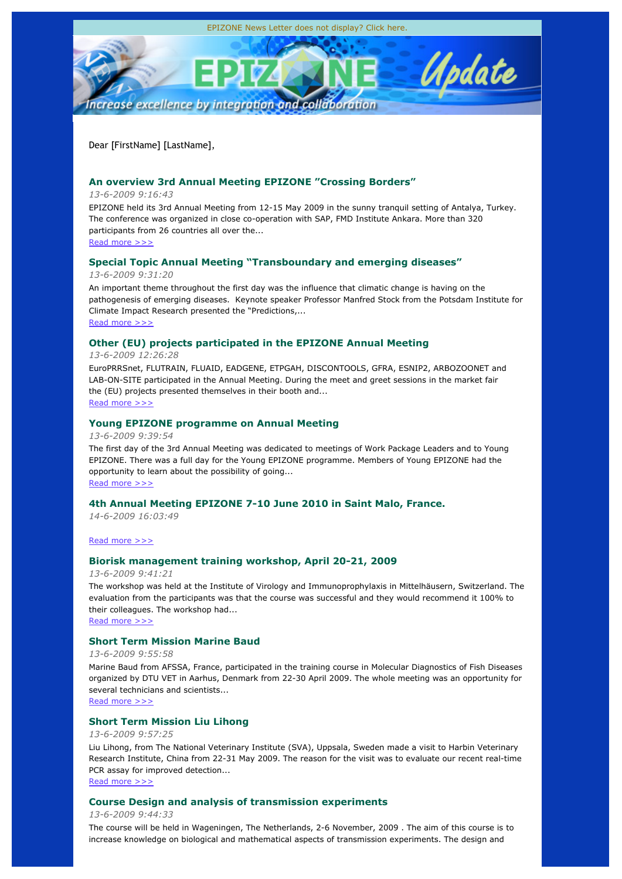Dear [FirstName] [LastName],

# **An overview 3rd Annual Meeting EPIZONE "Crossing Borders"**

# *13-6-2009 9:16:43*

EPIZONE held its 3rd Annual Meeting from 12-15 May 2009 in the sunny tranquil setting of Antalya, Turkey. The conference was organized in close co-operation with SAP, FMD Institute Ankara. More than 320 participants from 26 countries all over the... Read more >>>

# **Special Topic Annual Meeting "Transboundary and emerging diseases"**

*13-6-2009 9:31:20*

An important theme throughout the first day was the influence that climatic change is having on the pathogenesis of emerging diseases. Keynote speaker Professor Manfred Stock from the Potsdam Institute for Climate Impact Research presented the "Predictions,... Read more >>>

# **Other (EU) projects participated in the EPIZONE Annual Meeting**

# *13-6-2009 12:26:28*

EuroPRRSnet, FLUTRAIN, FLUAID, EADGENE, ETPGAH, DISCONTOOLS, GFRA, ESNIP2, ARBOZOONET and LAB-ON-SITE participated in the Annual Meeting. During the meet and greet sessions in the market fair the (EU) projects presented themselves in their booth and... Read more >>>

# **Young EPIZONE programme on Annual Meeting**

*13-6-2009 9:39:54*

The first day of the 3rd Annual Meeting was dedicated to meetings of Work Package Leaders and to Young EPIZONE. There was a full day for the Young EPIZONE programme. Members of Young EPIZONE had the opportunity to learn about the possibility of going... Read more >>>

# **4th Annual Meeting EPIZONE 7-10 June 2010 in Saint Malo, France.**

*14-6-2009 16:03:49*

## Read more >>>

# **Biorisk management training workshop, April 20-21, 2009**

*13-6-2009 9:41:21*

The workshop was held at the Institute of Virology and Immunoprophylaxis in Mittelhäusern, Switzerland. The evaluation from the participants was that the course was successful and they would recommend it 100% to their colleagues. The workshop had...

Read more >>>

# **Short Term Mission Marine Baud**

*13-6-2009 9:55:58*

Marine Baud from AFSSA, France, participated in the training course in Molecular Diagnostics of Fish Diseases organized by DTU VET in Aarhus, Denmark from 22-30 April 2009. The whole meeting was an opportunity for several technicians and scientists...

Read more >>>

# **Short Term Mission Liu Lihong**

## *13-6-2009 9:57:25*

Liu Lihong, from The National Veterinary Institute (SVA), Uppsala, Sweden made a visit to Harbin Veterinary Research Institute, China from 22-31 May 2009. The reason for the visit was to evaluate our recent real-time PCR assay for improved detection...

Read more >>>

# **Course Design and analysis of transmission experiments**

*13-6-2009 9:44:33*

The course will be held in Wageningen, The Netherlands, 2-6 November, 2009 . The aim of this course is to increase knowledge on biological and mathematical aspects of transmission experiments. The design and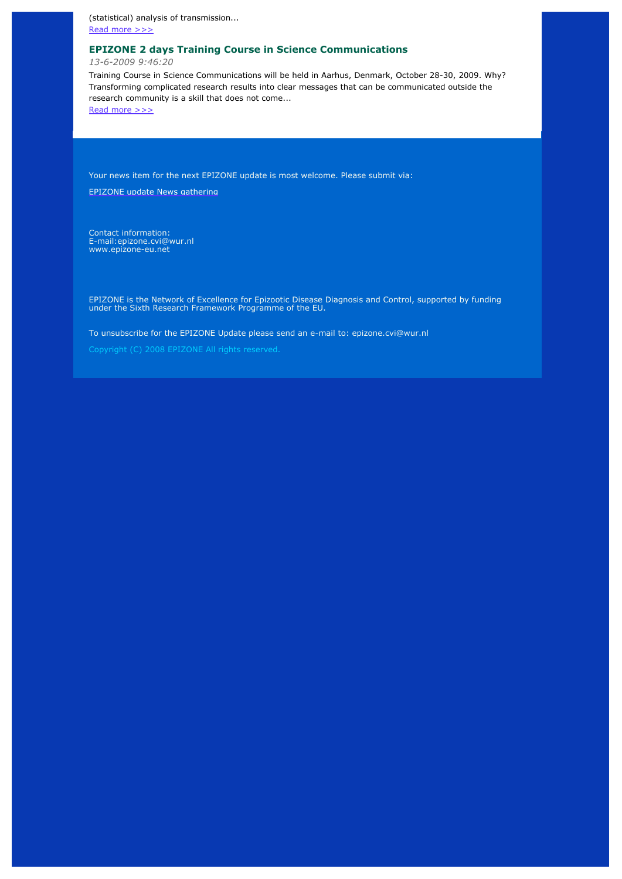(statistical) analysis of transmission...

Read more >>>

# **EPIZONE 2 days Training Course in Science Communications**

*13-6-2009 9:46:20*

Training Course in Science Communications will be held in Aarhus, Denmark, October 28-30, 2009. Why? Transforming complicated research results into clear messages that can be communicated outside the research community is a skill that does not come...

Read more >>>

Your news item for the next EPIZONE update is most welcome. Please submit via:

EPIZONE update News gathering

Contact information: E-mail:epizone.cvi@wur.nl www.epizone-eu.net

EPIZONE is the Network of Excellence for Epizootic Disease Diagnosis and Control, supported by funding under the Sixth Research Framework Programme of the EU.

To unsubscribe for the EPIZONE Update please send an e-mail to: epizone.cvi@wur.nl

Copyright (C) 2008 EPIZONE All rights reserved.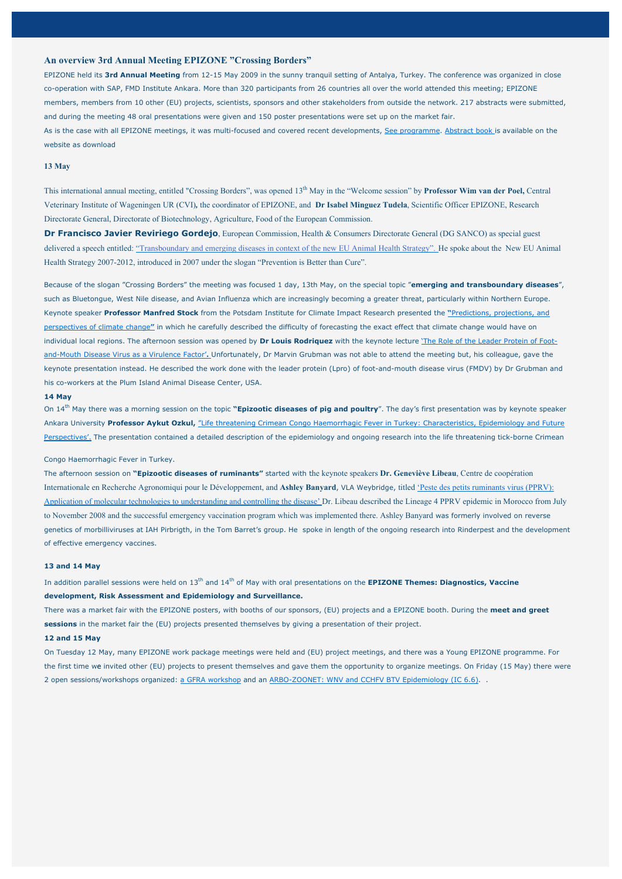## **An overview 3rd Annual Meeting EPIZONE "Crossing Borders"**

EPIZONE held its **3rd Annual Meeting** from 12-15 May 2009 in the sunny tranquil setting of Antalya, Turkey. The conference was organized in close co-operation with SAP, FMD Institute Ankara. More than 320 participants from 26 countries all over the world attended this meeting; EPIZONE members, members from 10 other (EU) projects, scientists, sponsors and other stakeholders from outside the network. 217 abstracts were submitted, and during the meeting 48 oral presentations were given and 150 poster presentations were set up on the market fair. As is the case with all EPIZONE meetings, it was multi-focused and covered recent developments, See programme. Abstract book is available on the website as download

### **13 May**

This international annual meeting, entitled "Crossing Borders", was opened 13th May in the "Welcome session" by **Professor Wim van der Poel,** Central Veterinary Institute of Wageningen UR (CVI)*,* the coordinator of EPIZONE, and **Dr Isabel Minguez Tudela**, Scientific Officer EPIZONE, Research Directorate General, Directorate of Biotechnology, Agriculture, Food of the European Commission.

**Dr Francisco Javier Reviriego Gordejo**, European Commission, Health & Consumers Directorate General (DG SANCO) as special guest delivered a speech entitled: "Transboundary and emerging diseases in context of the new EU Animal Health Strategy". He spoke about the New EU Animal Health Strategy 2007-2012, introduced in 2007 under the slogan "Prevention is Better than Cure".

Because of the slogan "Crossing Borders" the meeting was focused 1 day, 13th May, on the special topic "**emerging and transboundary diseases**", such as Bluetongue, West Nile disease, and Avian Influenza which are increasingly becoming a greater threat, particularly within Northern Europe. Keynote speaker **Professor Manfred Stock** from the Potsdam Institute for Climate Impact Research presented the **"**Predictions, projections, and perspectives of climate change**"** in which he carefully described the difficulty of forecasting the exact effect that climate change would have on individual local regions. The afternoon session was opened by **Dr Louis Rodriquez** with the keynote lecture 'The Role of the Leader Protein of Footand-Mouth Disease Virus as a Virulence Factor'**.** Unfortunately, Dr Marvin Grubman was not able to attend the meeting but, his colleague, gave the keynote presentation instead. He described the work done with the leader protein (Lpro) of foot-and-mouth disease virus (FMDV) by Dr Grubman and his co-workers at the Plum Island Animal Disease Center, USA.

#### **14 May**

On 14th May there was a morning session on the topic **"Epizootic diseases of pig and poultry**". The day's first presentation was by keynote speaker Ankara University **Professor Aykut Ozkul,** "Life threatening Crimean Congo Haemorrhagic Fever in Turkey: Characteristics, Epidemiology and Future Perspectives'. The presentation contained a detailed description of the epidemiology and ongoing research into the life threatening tick-borne Crimean

### Congo Haemorrhagic Fever in Turkey.

The afternoon session on **"Epizootic diseases of ruminants"** started with the keynote speakers **Dr. Geneviève Libeau**, Centre de coopération Internationale en Recherche Agronomiqui pour le Développement, and **Ashley Banyard**, VLA Weybridge, titled 'Peste des petits ruminants virus (PPRV): Application of molecular technologies to understanding and controlling the disease' Dr. Libeau described the Lineage 4 PPRV epidemic in Morocco from July to November 2008 and the successful emergency vaccination program which was implemented there. Ashley Banyard was formerly involved on reverse genetics of morbilliviruses at IAH Pirbrigth, in the Tom Barret's group. He spoke in length of the ongoing research into Rinderpest and the development of effective emergency vaccines.

### **13 and 14 May**

In addition parallel sessions were held on 13<sup>th</sup> and 14<sup>th</sup> of May with oral presentations on the **EPIZONE Themes: Diagnostics, Vaccine development, Risk Assessment and Epidemiology and Surveillance.**

There was a market fair with the EPIZONE posters, with booths of our sponsors, (EU) projects and a EPIZONE booth. During the **meet and greet sessions** in the market fair the (EU) projects presented themselves by giving a presentation of their project.

### **12 and 15 May**

On Tuesday 12 May, many EPIZONE work package meetings were held and (EU) project meetings, and there was a Young EPIZONE programme. For the first time we invited other (EU) projects to present themselves and gave them the opportunity to organize meetings. On Friday (15 May) there were 2 open sessions/workshops organized: a GFRA workshop and an ARBO-ZOONET: WNV and CCHFV BTV Epidemiology (IC 6.6).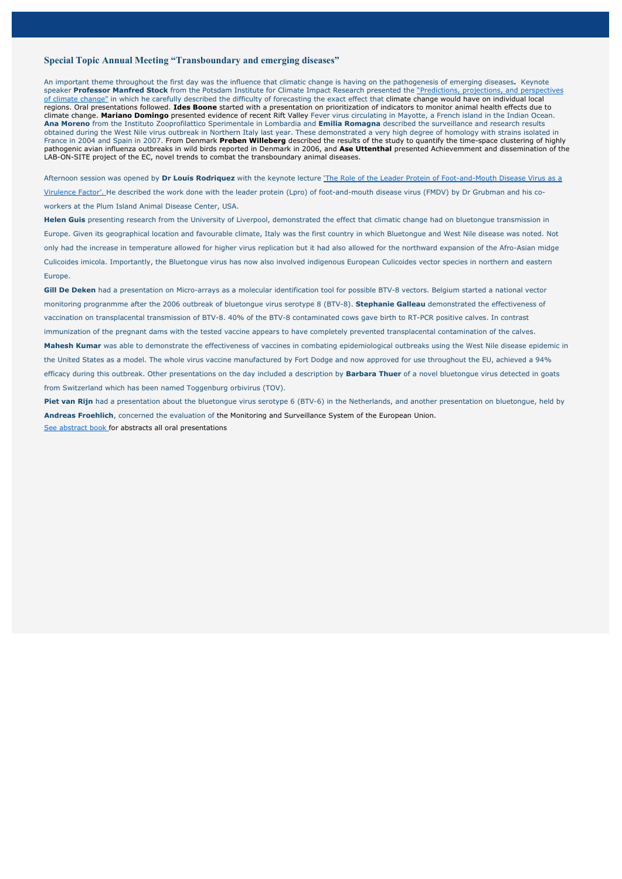### **Special Topic Annual Meeting "Transboundary and emerging diseases"**

An important theme throughout the first day was the influence that climatic change is having on the pathogenesis of emerging diseases**.** Keynote speaker **Professor Manfred Stock** from the Potsdam Institute for Climate Impact Research presented the "Predictions, projections, and perspectives of climate change" in which he carefully described the difficulty of forecasting the exact effect that climate change would have on individual local regions. Oral presentations followed. **Ides Boone** started with a presentation on prioritization of indicators to monitor animal health effects due to climate change. **Mariano Domingo** presented evidence of recent Rift Valley Fever virus circulating in Mayotte, a French island in the Indian Ocean. **Ana Moreno** from the Instituto Zooprofilattico Sperimentale in Lombardia and **Emilia Romagna** described the surveillance and research results obtained during the West Nile virus outbreak in Northern Italy last year. These demonstrated a very high degree of homology with strains isolated in France in 2004 and Spain in 2007. From Denmark **Preben Willeberg** described the results of the study to quantify the time-space clustering of highly pathogenic avian influenza outbreaks in wild birds reported in Denmark in 2006, and **Ase Uttenthal** presented Achievemment and dissemination of the LAB-ON-SITE project of the EC, novel trends to combat the transboundary animal diseases.

Afternoon session was opened by **Dr Louis Rodriquez** with the keynote lecture 'The Role of the Leader Protein of Foot-and-Mouth Disease Virus as a Virulence Factor'. He described the work done with the leader protein (Lpro) of foot-and-mouth disease virus (FMDV) by Dr Grubman and his coworkers at the Plum Island Animal Disease Center, USA.

**Helen Guis** presenting research from the University of Liverpool, demonstrated the effect that climatic change had on bluetongue transmission in Europe. Given its geographical location and favourable climate, Italy was the first country in which Bluetongue and West Nile disease was noted. Not only had the increase in temperature allowed for higher virus replication but it had also allowed for the northward expansion of the Afro-Asian midge Culicoides imicola. Importantly, the Bluetongue virus has now also involved indigenous European Culicoides vector species in northern and eastern Europe.

**Gill De Deken** had a presentation on Micro-arrays as a molecular identification tool for possible BTV-8 vectors. Belgium started a national vector monitoring progranmme after the 2006 outbreak of bluetongue virus serotype 8 (BTV-8). **Stephanie Galleau** demonstrated the effectiveness of vaccination on transplacental transmission of BTV-8. 40% of the BTV-8 contaminated cows gave birth to RT-PCR positive calves. In contrast immunization of the pregnant dams with the tested vaccine appears to have completely prevented transplacental contamination of the calves. **Mahesh Kumar** was able to demonstrate the effectiveness of vaccines in combating epidemiological outbreaks using the West Nile disease epidemic in the United States as a model. The whole virus vaccine manufactured by Fort Dodge and now approved for use throughout the EU, achieved a 94% efficacy during this outbreak. Other presentations on the day included a description by **Barbara Thuer** of a novel bluetongue virus detected in goats from Switzerland which has been named Toggenburg orbivirus (TOV).

**Piet van Rijn** had a presentation about the bluetongue virus serotype 6 (BTV-6) in the Netherlands, and another presentation on bluetongue, held by **Andreas Froehlich**, concerned the evaluation of the Monitoring and Surveillance System of the European Union. See abstract book for abstracts all oral presentations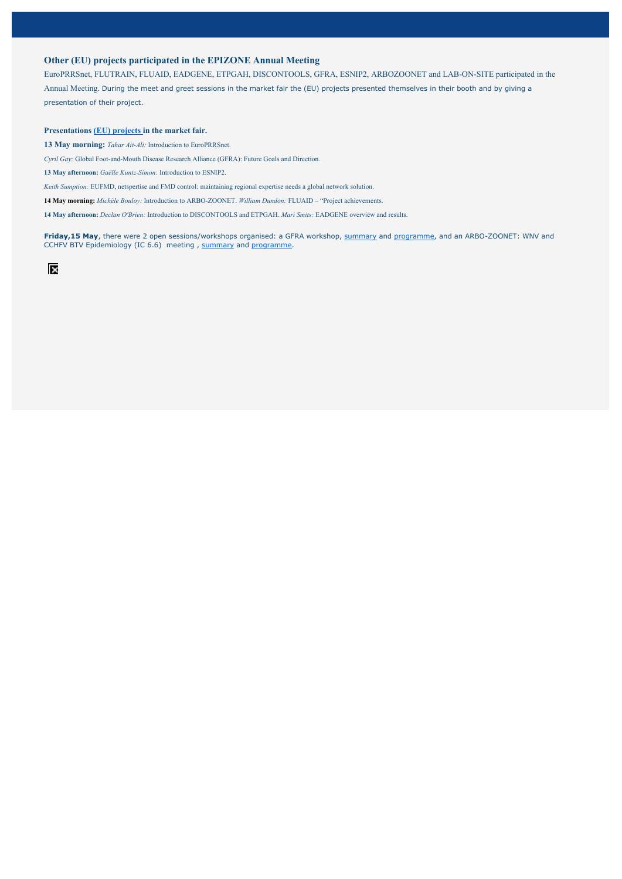## **Other (EU) projects participated in the EPIZONE Annual Meeting**

EuroPRRSnet, FLUTRAIN, FLUAID, EADGENE, ETPGAH, DISCONTOOLS, GFRA, ESNIP2, ARBOZOONET and LAB-ON-SITE participated in the Annual Meeting. During the meet and greet sessions in the market fair the (EU) projects presented themselves in their booth and by giving a presentation of their project.

#### **Presentations (EU) projects in the market fair.**

**13 May morning:** *Tahar Ait-Ali:* Introduction to EuroPRRSnet.

*Cyril Gay:* Global Foot-and-Mouth Disease Research Alliance (GFRA): Future Goals and Direction.

**13 May afternoon:** *Gaëlle Kuntz-Simon:* Introduction to ESNIP2.

*Keith Sumption:* EUFMD, netspertise and FMD control: maintaining regional expertise needs a global network solution.

**14 May morning:** *Michèle Bouloy:* Introduction to ARBO-ZOONET. *William Dundon:* FLUAID – "Project achievements.

**14 May afternoon:** *Declan O'Brien:* Introduction to DISCONTOOLS and ETPGAH. *Mari Smits:* EADGENE overview and results.

**Friday,15 May**, there were 2 open sessions/workshops organised: a GFRA workshop, summary and programme, and an ARBO-ZOONET: WNV and CCHFV BTV Epidemiology (IC 6.6) meeting , summary and programme.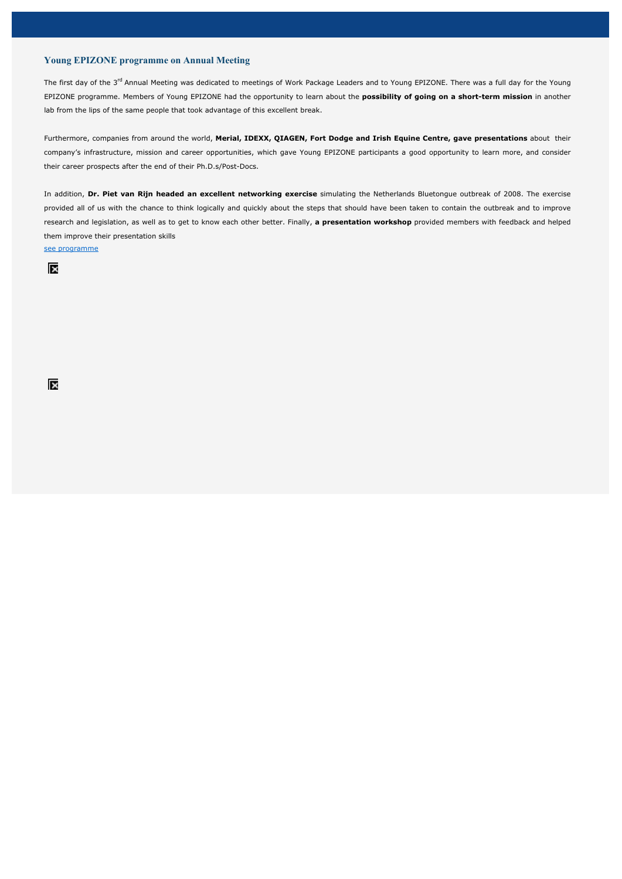## **Young EPIZONE programme on Annual Meeting**

The first day of the 3<sup>rd</sup> Annual Meeting was dedicated to meetings of Work Package Leaders and to Young EPIZONE. There was a full day for the Young EPIZONE programme. Members of Young EPIZONE had the opportunity to learn about the **possibility of going on a short-term mission** in another lab from the lips of the same people that took advantage of this excellent break.

Furthermore, companies from around the world, **Merial, IDEXX, QIAGEN, Fort Dodge and Irish Equine Centre, gave presentations** about their company's infrastructure, mission and career opportunities, which gave Young EPIZONE participants a good opportunity to learn more, and consider their career prospects after the end of their Ph.D.s/Post-Docs.

In addition, **Dr. Piet van Rijn headed an excellent networking exercise** simulating the Netherlands Bluetongue outbreak of 2008. The exercise provided all of us with the chance to think logically and quickly about the steps that should have been taken to contain the outbreak and to improve research and legislation, as well as to get to know each other better. Finally, **a presentation workshop** provided members with feedback and helped them improve their presentation skills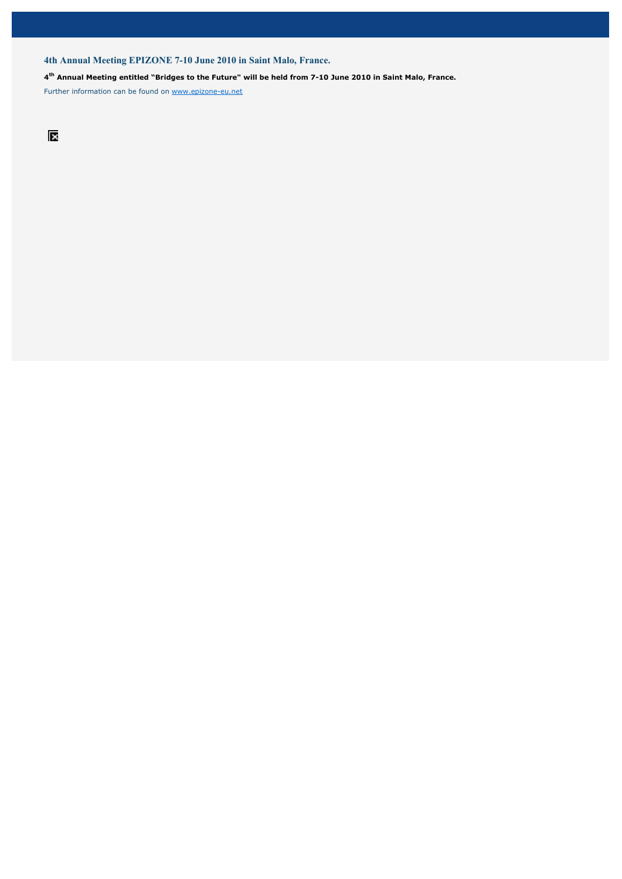## **4th Annual Meeting EPIZONE 7-10 June 2010 in Saint Malo, France.**

### **4th Annual Meeting entitled "Bridges to the Future" will be held from 7-10 June 2010 in Saint Malo, France.**

Further information can be found on www.epizone-eu.net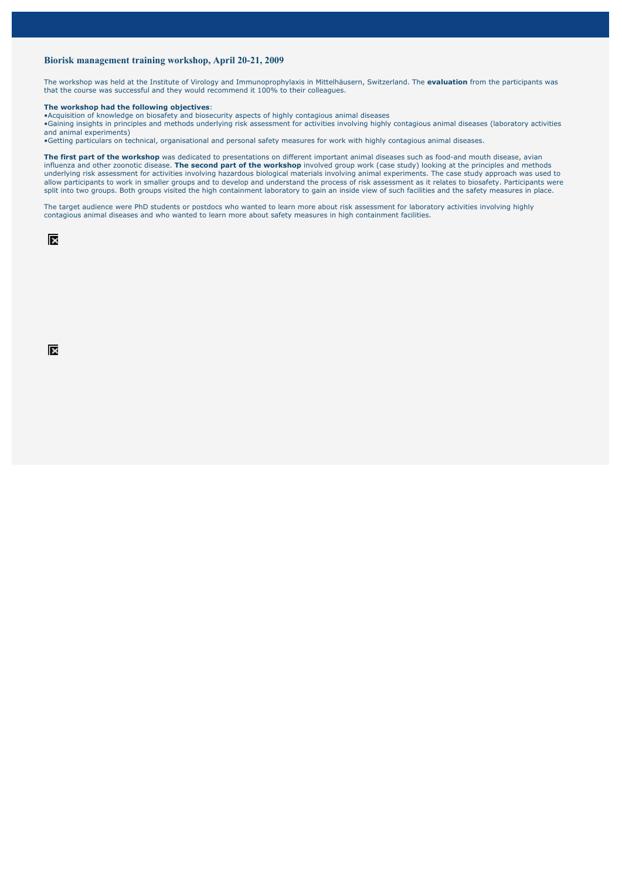## **Biorisk management training workshop, April 20-21, 2009**

The workshop was held at the Institute of Virology and Immunoprophylaxis in Mittelhäusern, Switzerland. The **evaluation** from the participants was that the course was successful and they would recommend it 100% to their colleagues.

#### **The workshop had the following objectives**:

•Acquisition of knowledge on biosafety and biosecurity aspects of highly contagious animal diseases •Gaining insights in principles and methods underlying risk assessment for activities involving highly contagious animal diseases (laboratory activities and animal experiments)

•Getting particulars on technical, organisational and personal safety measures for work with highly contagious animal diseases.

**The first part of the workshop** was dedicated to presentations on different important animal diseases such as food-and mouth disease, avian influenza and other zoonotic disease. **The second part of the workshop** involved group work (case study) looking at the principles and methods underlying risk assessment for activities involving hazardous biological materials involving animal experiments. The case study approach was used to allow participants to work in smaller groups and to develop and understand the process of risk assessment as it relates to biosafety. Participants were split into two groups. Both groups visited the high containment laboratory to gain an inside view of such facilities and the safety measures in place.

The target audience were PhD students or postdocs who wanted to learn more about risk assessment for laboratory activities involving highly contagious animal diseases and who wanted to learn more about safety measures in high containment facilities.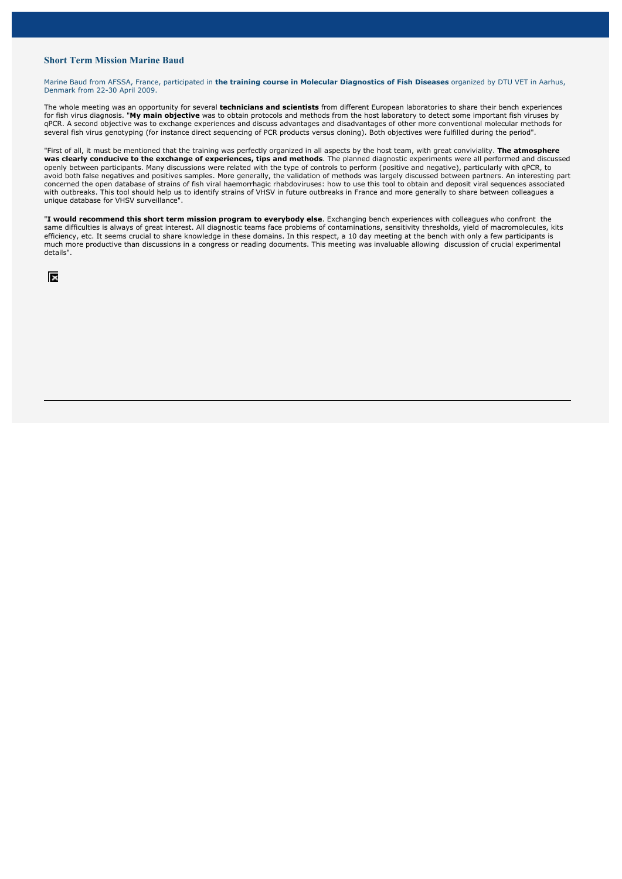## **Short Term Mission Marine Baud**

Marine Baud from AFSSA, France, participated in **the training course in Molecular Diagnostics of Fish Diseases** organized by DTU VET in Aarhus, Denmark from 22-30 April 2009.

The whole meeting was an opportunity for several **technicians and scientists** from different European laboratories to share their bench experiences for fish virus diagnosis. "**My main objective** was to obtain protocols and methods from the host laboratory to detect some important fish viruses by qPCR. A second objective was to exchange experiences and discuss advantages and disadvantages of other more conventional molecular methods for several fish virus genotyping (for instance direct sequencing of PCR products versus cloning). Both objectives were fulfilled during the period".

"First of all, it must be mentioned that the training was perfectly organized in all aspects by the host team, with great conviviality. **The atmosphere was clearly conducive to the exchange of experiences, tips and methods**. The planned diagnostic experiments were all performed and discussed openly between participants. Many discussions were related with the type of controls to perform (positive and negative), particularly with qPCR, to avoid both false negatives and positives samples. More generally, the validation of methods was largely discussed between partners. An interesting part concerned the open database of strains of fish viral haemorrhagic rhabdoviruses: how to use this tool to obtain and deposit viral sequences associated with outbreaks. This tool should help us to identify strains of VHSV in future outbreaks in France and more generally to share between colleagues a unique database for VHSV surveillance".

"**I would recommend this short term mission program to everybody else**. Exchanging bench experiences with colleagues who confront the same difficulties is always of great interest. All diagnostic teams face problems of contaminations, sensitivity thresholds, yield of macromolecules, kits efficiency, etc. It seems crucial to share knowledge in these domains. In this respect, a 10 day meeting at the bench with only a few participants is much more productive than discussions in a congress or reading documents. This meeting was invaluable allowing discussion of crucial experimental details".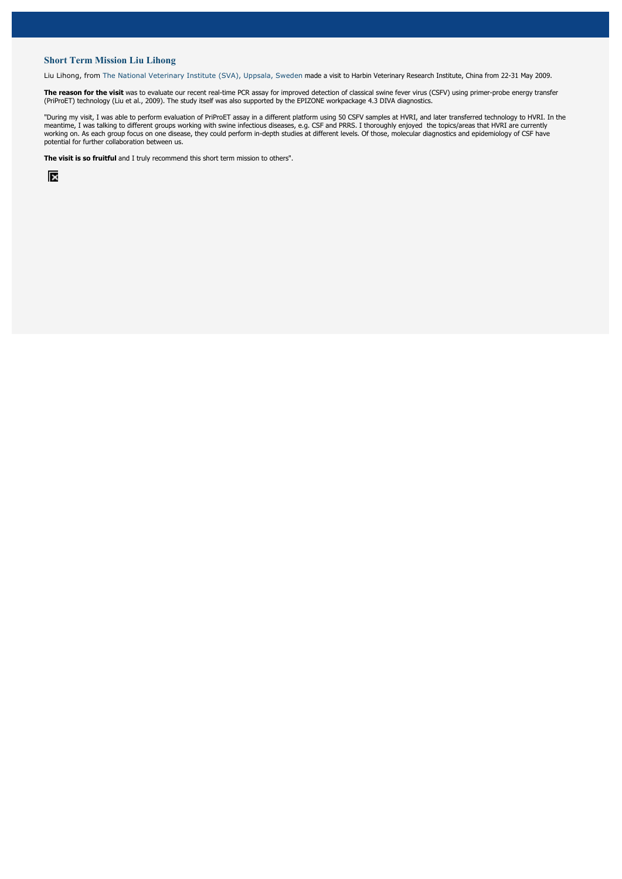## **Short Term Mission Liu Lihong**

Liu Lihong, from The National Veterinary Institute (SVA), Uppsala, Sweden made a visit to Harbin Veterinary Research Institute, China from 22-31 May 2009.

**The reason for the visit** was to evaluate our recent real-time PCR assay for improved detection of classical swine fever virus (CSFV) using primer-probe energy transfer (PriProET) technology (Liu et al., 2009). The study itself was also supported by the EPIZONE workpackage 4.3 DIVA diagnostics.

"During my visit, I was able to perform evaluation of PriProET assay in a different platform using 50 CSFV samples at HVRI, and later transferred technology to HVRI. In the meantime, I was talking to different groups working with swine infectious diseases, e.g. CSF and PRRS. I thoroughly enjoyed the topics/areas that HVRI are currently working on. As each group focus on one disease, they could perform in-depth studies at different levels. Of those, molecular diagnostics and epidemiology of CSF have potential for further collaboration between us.

**The visit is so fruitful** and I truly recommend this short term mission to others".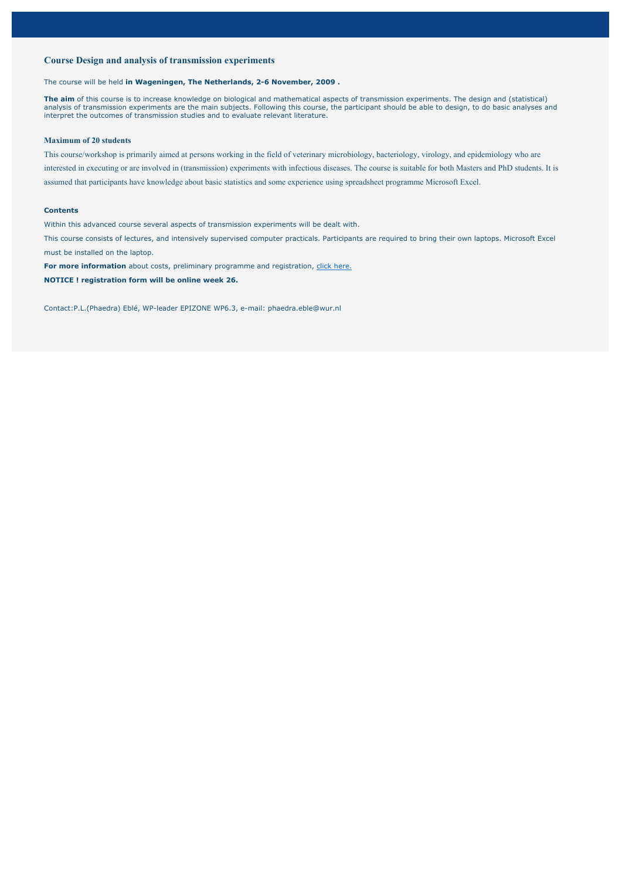## **Course Design and analysis of transmission experiments**

The course will be held **in Wageningen, The Netherlands, 2-6 November, 2009 .**

**The aim** of this course is to increase knowledge on biological and mathematical aspects of transmission experiments. The design and (statistical) analysis of transmission experiments are the main subjects. Following this course, the participant should be able to design, to do basic analyses and interpret the outcomes of transmission studies and to evaluate relevant literature.

### **Maximum of 20 students**

This course/workshop is primarily aimed at persons working in the field of veterinary microbiology, bacteriology, virology, and epidemiology who are interested in executing or are involved in (transmission) experiments with infectious diseases. The course is suitable for both Masters and PhD students. It is assumed that participants have knowledge about basic statistics and some experience using spreadsheet programme Microsoft Excel.

### **Contents**

Within this advanced course several aspects of transmission experiments will be dealt with.

This course consists of lectures, and intensively supervised computer practicals. Participants are required to bring their own laptops. Microsoft Excel must be installed on the laptop.

**For more information** about costs, preliminary programme and registration, click here.

**NOTICE ! registration form will be online week 26.**

Contact:P.L.(Phaedra) Eblé, WP-leader EPIZONE WP6.3, e-mail: phaedra.eble@wur.nl